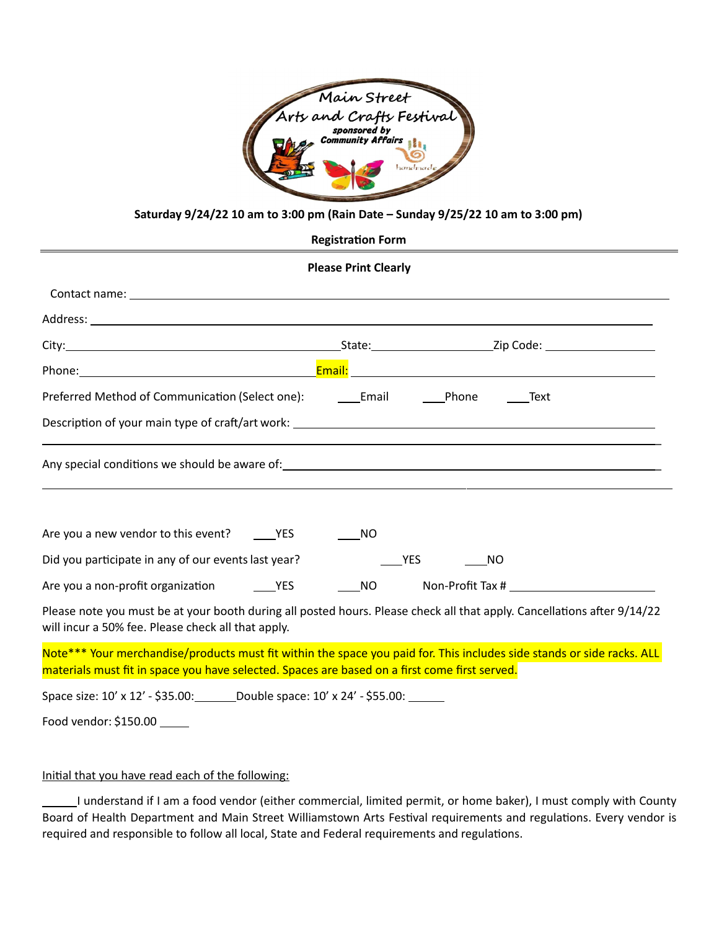

## Saturday  $9/24/22$  10 am to 3:00 pm (Rain Date – Sunday  $9/25/22$  10 am to 3:00 pm)

#### **Registration Form**

## **Please Print Clearly**

| Preferred Method of Communication (Select one): _________________________________Phone                                                                                                                                  |            | Text |
|-------------------------------------------------------------------------------------------------------------------------------------------------------------------------------------------------------------------------|------------|------|
|                                                                                                                                                                                                                         |            |      |
| Any special conditions we should be aware of: 1999 and 2009 and 2009 and 2009 and 2009 and 2009 and 2009 and 20                                                                                                         |            |      |
|                                                                                                                                                                                                                         |            |      |
| Are you a new vendor to this event? ________ YES                                                                                                                                                                        | <b>NO</b>  |      |
| Did you participate in any of our events last year?                                                                                                                                                                     | <b>YES</b> | NO   |
|                                                                                                                                                                                                                         | <b>NO</b>  |      |
| Please note you must be at your booth during all posted hours. Please check all that apply. Cancellations after 9/14/22<br>will incur a 50% fee. Please check all that apply.                                           |            |      |
| Note*** Your merchandise/products must fit within the space you paid for. This includes side stands or side racks. ALL<br>materials must fit in space you have selected. Spaces are based on a first come first served. |            |      |
| Space size: 10' x 12' - \$35.00: Double space: 10' x 24' - \$55.00: ______                                                                                                                                              |            |      |

Food vendor: \$150.00 \_\_\_\_\_

### Initial that you have read each of the following:

I understand if I am a food vendor (either commercial, limited permit, or home baker), I must comply with County Board of Health Department and Main Street Williamstown Arts Festival requirements and regulations. Every vendor is required and responsible to follow all local, State and Federal requirements and regulations.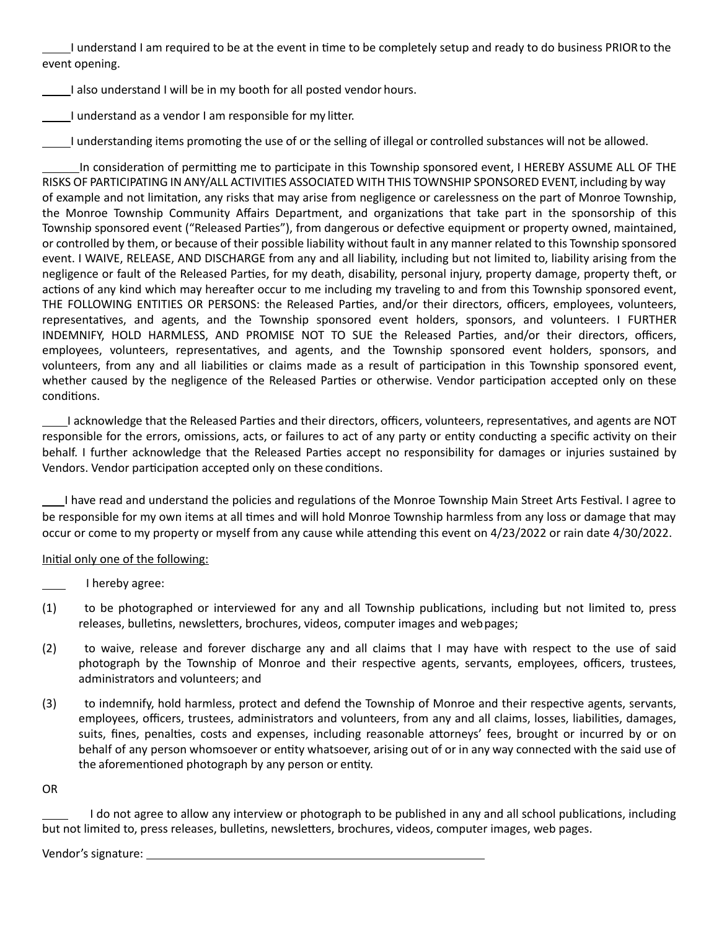I understand I am required to be at the event in time to be completely setup and ready to do business PRIOR to the event opening.

 $\Box$ I also understand I will be in my booth for all posted vendor hours.

I understand as a vendor I am responsible for my litter.

I understanding items promoting the use of or the selling of illegal or controlled substances will not be allowed.

In consideration of permitting me to participate in this Township sponsored event, I HEREBY ASSUME ALL OF THE RISKS OF PARTICIPATING IN ANY/ALL ACTIVITIES ASSOCIATED WITH THIS TOWNSHIP SPONSORED EVENT, including by way of example and not limitation, any risks that may arise from negligence or carelessness on the part of Monroe Township, the Monroe Township Community Affairs Department, and organizations that take part in the sponsorship of this Township sponsored event ("Released Parties"), from dangerous or defective equipment or property owned, maintained, or controlled by them, or because of their possible liability without fault in any manner related to this Township sponsored event. I WAIVE, RELEASE, AND DISCHARGE from any and all liability, including but not limited to, liability arising from the negligence or fault of the Released Parties, for my death, disability, personal injury, property damage, property theft, or actions of any kind which may hereafter occur to me including my traveling to and from this Township sponsored event, THE FOLLOWING ENTITIES OR PERSONS: the Released Parties, and/or their directors, officers, employees, volunteers, representatives, and agents, and the Township sponsored event holders, sponsors, and volunteers. I FURTHER INDEMNIFY, HOLD HARMLESS, AND PROMISE NOT TO SUE the Released Parties, and/or their directors, officers, employees, volunteers, representatives, and agents, and the Township sponsored event holders, sponsors, and volunteers, from any and all liabilities or claims made as a result of participation in this Township sponsored event, whether caused by the negligence of the Released Parties or otherwise. Vendor participation accepted only on these conditions.

I acknowledge that the Released Parties and their directors, officers, volunteers, representatives, and agents are NOT responsible for the errors, omissions, acts, or failures to act of any party or entity conducting a specific activity on their behalf. I further acknowledge that the Released Parties accept no responsibility for damages or injuries sustained by Vendors. Vendor participation accepted only on these conditions.

I have read and understand the policies and regulations of the Monroe Township Main Street Arts Festival. I agree to be responsible for my own items at all times and will hold Monroe Township harmless from any loss or damage that may occur or come to my property or myself from any cause while attending this event on 4/23/2022 or rain date 4/30/2022.

## Initial only one of the following:

I hereby agree:

- (1) to be photographed or interviewed for any and all Township publications, including but not limited to, press releases, bulletins, newsletters, brochures, videos, computer images and web pages;
- (2) to waive, release and forever discharge any and all claims that I may have with respect to the use of said photograph by the Township of Monroe and their respective agents, servants, employees, officers, trustees, administrators and volunteers; and
- (3) to indemnify, hold harmless, protect and defend the Township of Monroe and their respective agents, servants, employees, officers, trustees, administrators and volunteers, from any and all claims, losses, liabilities, damages, suits, fines, penalties, costs and expenses, including reasonable attorneys' fees, brought or incurred by or on behalf of any person whomsoever or entity whatsoever, arising out of or in any way connected with the said use of the aforementioned photograph by any person or entity.

OR

I do not agree to allow any interview or photograph to be published in any and all school publications, including but not limited to, press releases, bulletins, newsletters, brochures, videos, computer images, web pages.

Vendor's signature: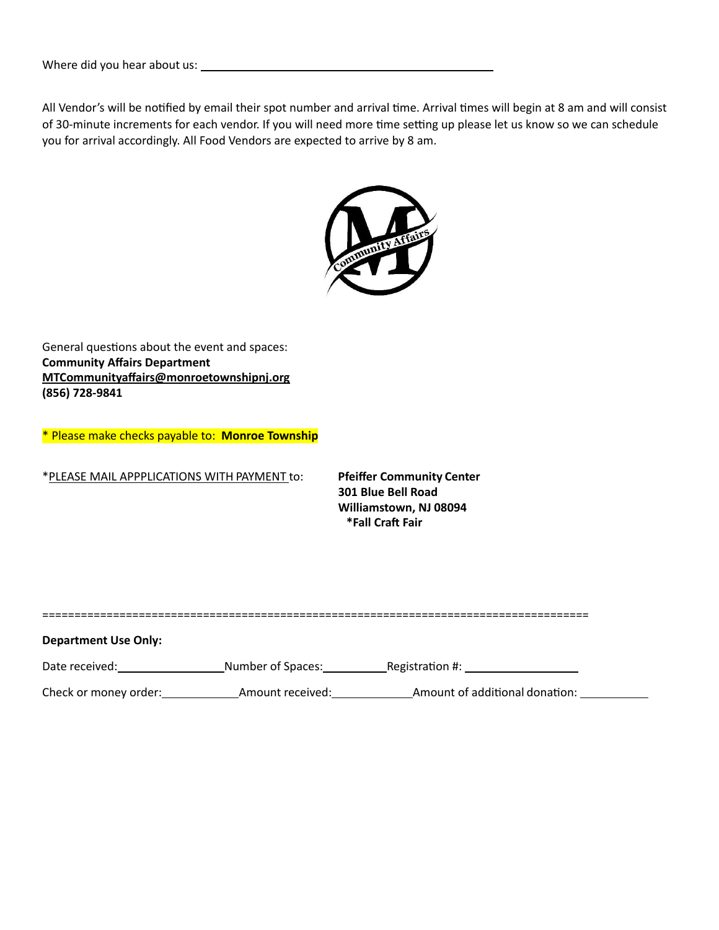Where did you hear about us: 

All Vendor's will be notified by email their spot number and arrival time. Arrival times will begin at 8 am and will consist of 30-minute increments for each vendor. If you will need more time setting up please let us know so we can schedule you for arrival accordingly. All Food Vendors are expected to arrive by 8 am.



General questions about the event and spaces: **Community Affairs Department [MTCommunityaffairs@monroetownshipnj.org](mailto:MTCommunityaffairs@monroetownshipnj.org)  (856) 728-9841**

\* Please make checks payable to: **Monroe Township**

\*PLEASE MAIL APPPLICATIONS WITH PAYMENT to: **Pfeiffer Community Center**

**301 Blue Bell Road**  Williamstown, NJ 08094 **\*Fall Craft Fair**

### **Department Use Only:**

| Date received:        | Number of Spaces: | Registration #:                |  |
|-----------------------|-------------------|--------------------------------|--|
| Check or money order: | Amount received:  | Amount of additional donation: |  |